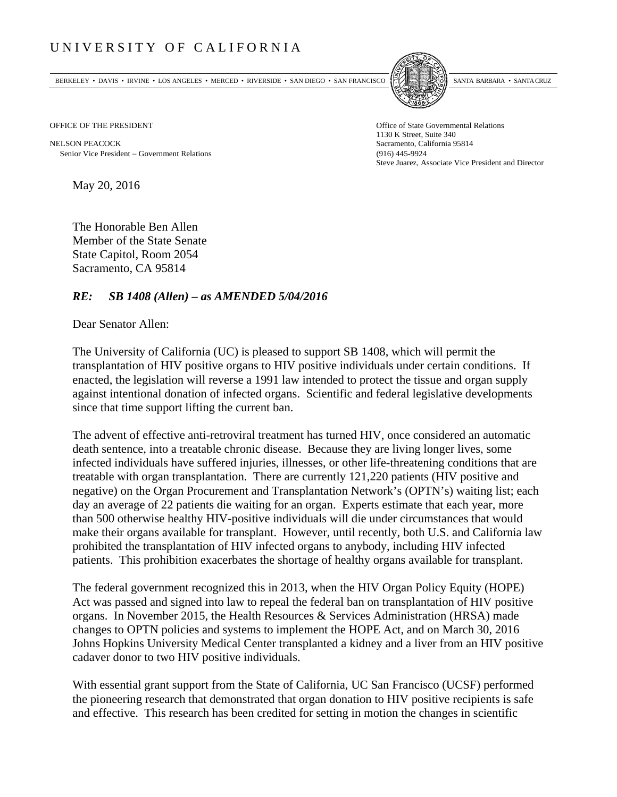## UNIVERSITY OF CALIFORNIA

BERKELEY • DAVIS • IRVINE • LOS ANGELES • MERCED • RIVERSIDE • SAN DIEGO • SAN FRANCISCO SANTA BARBARA • SANTA CRUZ



OFFICE OF THE PRESIDENT STATES OF THE PRESIDENT

NELSON PEACOCK Sacramento, California 95814 Senior Vice President Government Relations (916) 445-9924

1130 K Street, Suite 340 Steve Juarez, Associate Vice President and Director

May 20, 2016

The Honorable Ben Allen Member of the State Senate State Capitol, Room 2054 Sacramento, CA 95814

## *RE: SB 1408 (Allen) – as AMENDED 5/04/2016*

Dear Senator Allen:

The University of California (UC) is pleased to support SB 1408, which will permit the transplantation of HIV positive organs to HIV positive individuals under certain conditions. If enacted, the legislation will reverse a 1991 law intended to protect the tissue and organ supply against intentional donation of infected organs. Scientific and federal legislative developments since that time support lifting the current ban.

The advent of effective anti-retroviral treatment has turned HIV, once considered an automatic death sentence, into a treatable chronic disease. Because they are living longer lives, some infected individuals have suffered injuries, illnesses, or other life-threatening conditions that are treatable with organ transplantation. There are currently 121,220 patients (HIV positive and negative) on the Organ Procurement and Transplantation Network's (OPTN's) waiting list; each day an average of 22 patients die waiting for an organ. Experts estimate that each year, more than 500 otherwise healthy HIV-positive individuals will die under circumstances that would make their organs available for transplant. However, until recently, both U.S. and California law prohibited the transplantation of HIV infected organs to anybody, including HIV infected patients. This prohibition exacerbates the shortage of healthy organs available for transplant.

The federal government recognized this in 2013, when the HIV Organ Policy Equity (HOPE) Act was passed and signed into law to repeal the federal ban on transplantation of HIV positive organs. In November 2015, the Health Resources & Services Administration (HRSA) made changes to OPTN policies and systems to implement the HOPE Act, and on March 30, 2016 Johns Hopkins University Medical Center transplanted a kidney and a liver from an HIV positive cadaver donor to two HIV positive individuals.

With essential grant support from the State of California, UC San Francisco (UCSF) performed the pioneering research that demonstrated that organ donation to HIV positive recipients is safe and effective. This research has been credited for setting in motion the changes in scientific